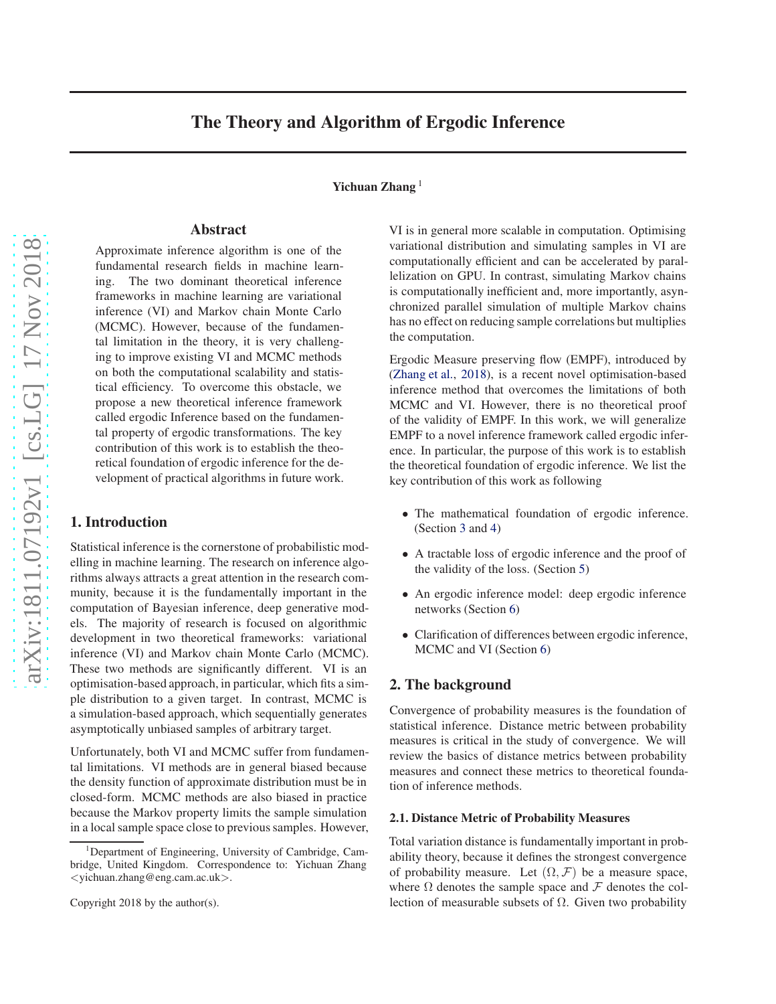# The Theory and Algorithm of Ergodic Inference

Yichuan Zhang<sup>1</sup>

# Abstract

Approximate inference algorithm is one of the fundamental research fields in machine learning. The two dominant theoretical inference frameworks in machine learning are variational inference (VI) and Markov chain Monte Carlo (MCMC). However, because of the fundamental limitation in the theory, it is very challenging to improve existing VI and MCMC methods on both the computational scalability and statistical efficiency. To overcome this obstacle, we propose a new theoretical inference framework called ergodic Inference based on the fundamental property of ergodic transformations. The key contribution of this work is to establish the theoretical foundation of ergodic inference for the development of practical algorithms in future work.

# 1. Introduction

Statistical inference is the cornerstone of probabilistic modelling in machine learning. The research on inference algorithms always attracts a great attention in the research community, because it is the fundamentally important in the computation of Bayesian inference, deep generative models. The majority of research is focused on algorithmic development in two theoretical frameworks: variational inference (VI) and Markov chain Monte Carlo (MCMC). These two methods are significantly different. VI is an optimisation-based approach, in particular, which fits a simple distribution to a given target. In contrast, MCMC is a simulation-based approach, which sequentially generates asymptotically unbiased samples of arbitrary target.

Unfortunately, both VI and MCMC suffer from fundamental limitations. VI methods are in general biased because the density function of approximate distribution must be in closed-form. MCMC methods are also biased in practice because the Markov property limits the sample simulation in a local sample space close to previous samples. However, VI is in general more scalable in computation. Optimising variational distribution and simulating samples in VI are computationally efficient and can be accelerated by parallelization on GPU. In contrast, simulating Markov chains is computationally inefficient and, more importantly, asynchronized parallel simulation of multiple Markov chains has no effect on reducing sample correlations but multiplies the computation.

Ergodic Measure preserving flow (EMPF), introduced by (Zhang et al., 2018), is a recent novel optimisation-based inference method that overcomes the limitations of both MCMC and VI. However, there is no theoretical proof of the validity of EMPF. In this work, we will generalize EMPF to a novel inference framework called ergodic inference. In particular, the purpose of this work is to establish the theoretical foundation of ergodic inference. We list the key contribution of this work as following

- The mathematical foundation of ergodic inference. (Section [3](#page-2-0) and [4\)](#page-3-0)
- A tractable loss of ergodic inference and the proof of the validity of the loss. (Section [5\)](#page-4-0)
- An ergodic inference model: deep ergodic inference networks (Section [6\)](#page-6-0)
- Clarification of differences between ergodic inference, MCMC and VI (Section [6\)](#page-6-0)

# 2. The background

Convergence of probability measures is the foundation of statistical inference. Distance metric between probability measures is critical in the study of convergence. We will review the basics of distance metrics between probability measures and connect these metrics to theoretical foundation of inference methods.

#### 2.1. Distance Metric of Probability Measures

Total variation distance is fundamentally important in probability theory, because it defines the strongest convergence of probability measure. Let  $(\Omega, \mathcal{F})$  be a measure space, where  $\Omega$  denotes the sample space and  $\mathcal F$  denotes the collection of measurable subsets of Ω. Given two probability

<sup>1</sup>Department of Engineering, University of Cambridge, Cambridge, United Kingdom. Correspondence to: Yichuan Zhang <yichuan.zhang@eng.cam.ac.uk>.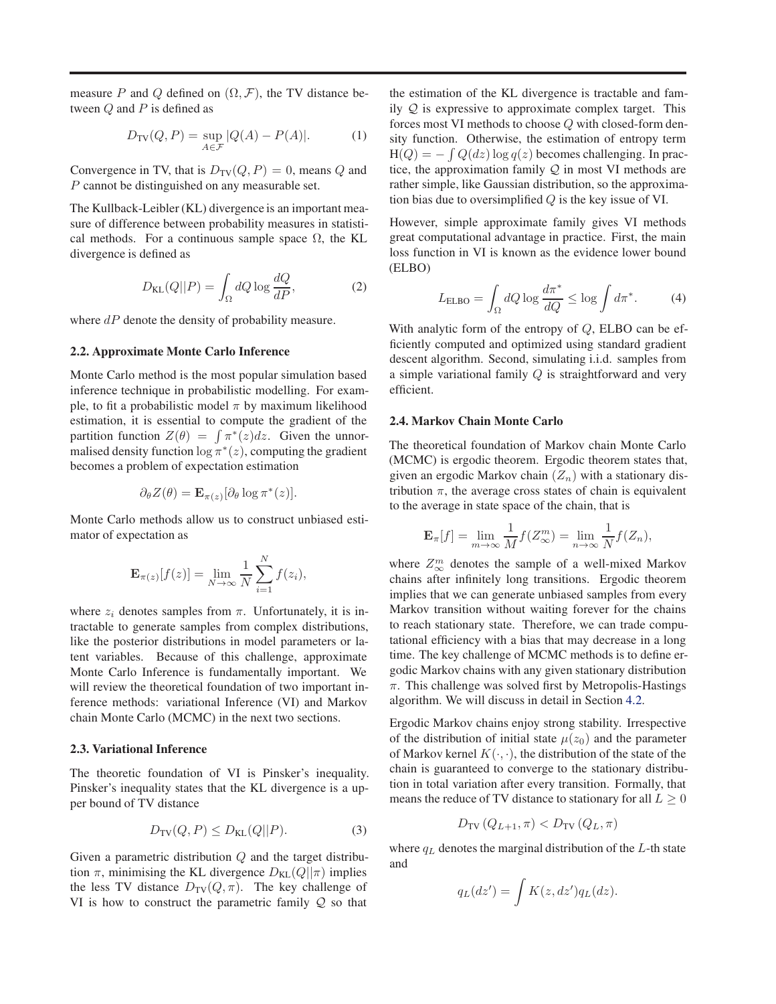measure P and Q defined on  $(\Omega, \mathcal{F})$ , the TV distance between  $Q$  and  $P$  is defined as

$$
D_{\text{TV}}(Q, P) = \sup_{A \in \mathcal{F}} |Q(A) - P(A)|. \tag{1}
$$

Convergence in TV, that is  $D_{TV}(Q, P) = 0$ , means Q and P cannot be distinguished on any measurable set.

The Kullback-Leibler (KL) divergence is an important measure of difference between probability measures in statistical methods. For a continuous sample space  $\Omega$ , the KL divergence is defined as

$$
D_{\text{KL}}(Q||P) = \int_{\Omega} dQ \log \frac{dQ}{dP},\tag{2}
$$

where  $dP$  denote the density of probability measure.

#### 2.2. Approximate Monte Carlo Inference

Monte Carlo method is the most popular simulation based inference technique in probabilistic modelling. For example, to fit a probabilistic model  $\pi$  by maximum likelihood estimation, it is essential to compute the gradient of the partition function  $Z(\theta) = \int \pi^*(z) dz$ . Given the unnormalised density function  $\log \pi^*(z)$ , computing the gradient becomes a problem of expectation estimation

$$
\partial_{\theta} Z(\theta) = \mathbf{E}_{\pi(z)} [\partial_{\theta} \log \pi^*(z)].
$$

Monte Carlo methods allow us to construct unbiased estimator of expectation as

$$
\mathbf{E}_{\pi(z)}[f(z)] = \lim_{N \to \infty} \frac{1}{N} \sum_{i=1}^{N} f(z_i),
$$

where  $z_i$  denotes samples from  $\pi$ . Unfortunately, it is intractable to generate samples from complex distributions, like the posterior distributions in model parameters or latent variables. Because of this challenge, approximate Monte Carlo Inference is fundamentally important. We will review the theoretical foundation of two important inference methods: variational Inference (VI) and Markov chain Monte Carlo (MCMC) in the next two sections.

#### 2.3. Variational Inference

The theoretic foundation of VI is Pinsker's inequality. Pinsker's inequality states that the KL divergence is a upper bound of TV distance

$$
D_{\text{TV}}(Q, P) \le D_{\text{KL}}(Q||P). \tag{3}
$$

Given a parametric distribution  $Q$  and the target distribution  $\pi$ , minimising the KL divergence  $D_{KL}(Q||\pi)$  implies the less TV distance  $D_{TV}(Q, \pi)$ . The key challenge of VI is how to construct the parametric family  $Q$  so that

the estimation of the KL divergence is tractable and family  $Q$  is expressive to approximate complex target. This forces most VI methods to choose Q with closed-form density function. Otherwise, the estimation of entropy term  $H(Q) = -\int Q(dz) \log q(z)$  becomes challenging. In practice, the approximation family  $Q$  in most VI methods are rather simple, like Gaussian distribution, so the approximation bias due to oversimplified  $Q$  is the key issue of VI.

However, simple approximate family gives VI methods great computational advantage in practice. First, the main loss function in VI is known as the evidence lower bound (ELBO)

$$
L_{\rm ELBO} = \int_{\Omega} dQ \log \frac{d\pi^*}{dQ} \le \log \int d\pi^*.
$$
 (4)

With analytic form of the entropy of  $Q$ , ELBO can be efficiently computed and optimized using standard gradient descent algorithm. Second, simulating i.i.d. samples from a simple variational family Q is straightforward and very efficient.

### 2.4. Markov Chain Monte Carlo

The theoretical foundation of Markov chain Monte Carlo (MCMC) is ergodic theorem. Ergodic theorem states that, given an ergodic Markov chain  $(Z_n)$  with a stationary distribution  $\pi$ , the average cross states of chain is equivalent to the average in state space of the chain, that is

$$
\mathbf{E}_{\pi}[f] = \lim_{m \to \infty} \frac{1}{M} f(Z_{\infty}^m) = \lim_{n \to \infty} \frac{1}{N} f(Z_n),
$$

where  $Z_{\infty}^{m}$  denotes the sample of a well-mixed Markov chains after infinitely long transitions. Ergodic theorem implies that we can generate unbiased samples from every Markov transition without waiting forever for the chains to reach stationary state. Therefore, we can trade computational efficiency with a bias that may decrease in a long time. The key challenge of MCMC methods is to define ergodic Markov chains with any given stationary distribution  $\pi$ . This challenge was solved first by Metropolis-Hastings algorithm. We will discuss in detail in Section [4.2.](#page-3-0)

Ergodic Markov chains enjoy strong stability. Irrespective of the distribution of initial state  $\mu(z_0)$  and the parameter of Markov kernel  $K(\cdot, \cdot)$ , the distribution of the state of the chain is guaranteed to converge to the stationary distribution in total variation after every transition. Formally, that means the reduce of TV distance to stationary for all  $L \geq 0$ 

$$
D_{\text{TV}}\left(Q_{L+1}, \pi\right) < D_{\text{TV}}\left(Q_L, \pi\right)
$$

where  $q_L$  denotes the marginal distribution of the L-th state and

$$
q_L(dz') = \int K(z, dz') q_L(dz).
$$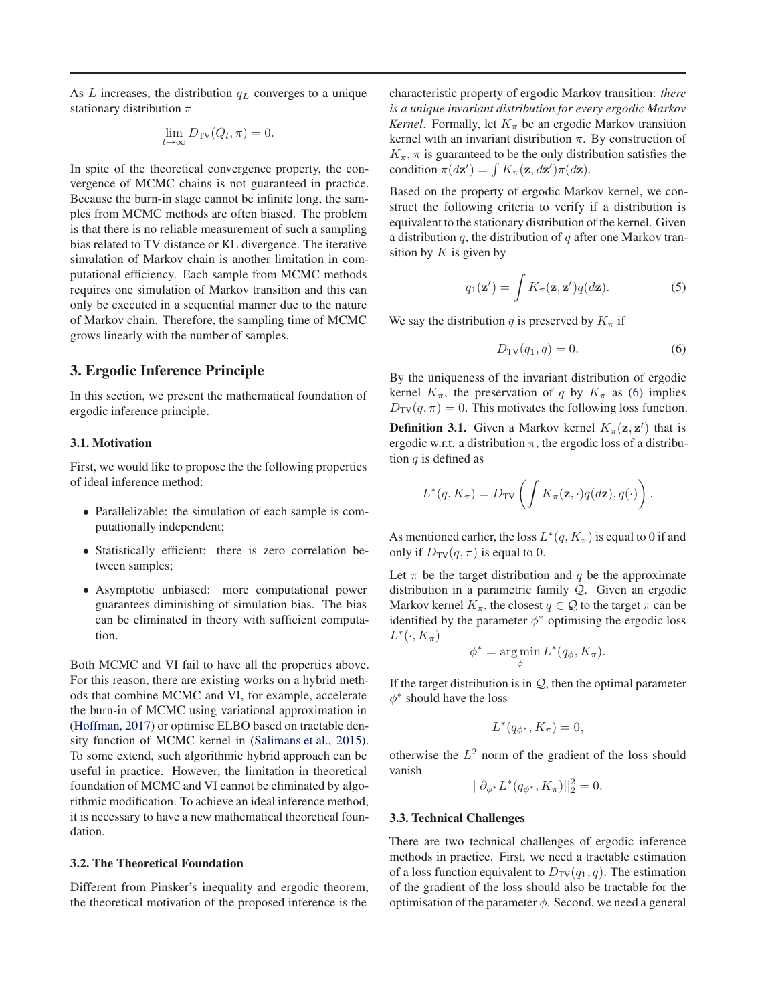<span id="page-2-0"></span>As L increases, the distribution  $q<sub>L</sub>$  converges to a unique stationary distribution  $\pi$ 

$$
\lim_{l \to \infty} D_{\rm TV}(Q_l, \pi) = 0.
$$

In spite of the theoretical convergence property, the convergence of MCMC chains is not guaranteed in practice. Because the burn-in stage cannot be infinite long, the samples from MCMC methods are often biased. The problem is that there is no reliable measurement of such a sampling bias related to TV distance or KL divergence. The iterative simulation of Markov chain is another limitation in computational efficiency. Each sample from MCMC methods requires one simulation of Markov transition and this can only be executed in a sequential manner due to the nature of Markov chain. Therefore, the sampling time of MCMC grows linearly with the number of samples.

# 3. Ergodic Inference Principle

In this section, we present the mathematical foundation of ergodic inference principle.

# 3.1. Motivation

First, we would like to propose the the following properties of ideal inference method:

- Parallelizable: the simulation of each sample is computationally independent;
- Statistically efficient: there is zero correlation between samples;
- Asymptotic unbiased: more computational power guarantees diminishing of simulation bias. The bias can be eliminated in theory with sufficient computation.

Both MCMC and VI fail to have all the properties above. For this reason, there are existing works on a hybrid methods that combine MCMC and VI, for example, accelerate the burn-in of MCMC using variational approximation in [\(Hoffman](#page-8-0), [2017\)](#page-8-0) or optimise ELBO based on tractable density function of MCMC kernel in [\(Salimans et al.](#page-8-0), [2015\)](#page-8-0). To some extend, such algorithmic hybrid approach can be useful in practice. However, the limitation in theoretical foundation of MCMC and VI cannot be eliminated by algorithmic modification. To achieve an ideal inference method, it is necessary to have a new mathematical theoretical foundation.

# 3.2. The Theoretical Foundation

Different from Pinsker's inequality and ergodic theorem, the theoretical motivation of the proposed inference is the

characteristic property of ergodic Markov transition: *there is a unique invariant distribution for every ergodic Markov Kernel*. Formally, let  $K_{\pi}$  be an ergodic Markov transition kernel with an invariant distribution  $\pi$ . By construction of  $K_{\pi}$ ,  $\pi$  is guaranteed to be the only distribution satisfies the condition  $\pi(d\mathbf{z}') = \int K_{\pi}(\mathbf{z}, d\mathbf{z}') \pi(d\mathbf{z})$ .

Based on the property of ergodic Markov kernel, we construct the following criteria to verify if a distribution is equivalent to the stationary distribution of the kernel. Given a distribution  $q$ , the distribution of  $q$  after one Markov transition by  $K$  is given by

$$
q_1(\mathbf{z}') = \int K_\pi(\mathbf{z}, \mathbf{z}') q(d\mathbf{z}). \tag{5}
$$

We say the distribution q is preserved by  $K_{\pi}$  if

$$
D_{\rm TV}(q_1, q) = 0. \tag{6}
$$

By the uniqueness of the invariant distribution of ergodic kernel  $K_{\pi}$ , the preservation of q by  $K_{\pi}$  as (6) implies  $D_{\rm TV}(q, \pi) = 0$ . This motivates the following loss function.

**Definition 3.1.** Given a Markov kernel  $K_{\pi}(\mathbf{z}, \mathbf{z}')$  that is ergodic w.r.t. a distribution  $\pi$ , the ergodic loss of a distribution  $q$  is defined as

$$
L^*(q, K_{\pi}) = D_{\text{TV}}\left(\int K_{\pi}(\mathbf{z}, \cdot) q(d\mathbf{z}), q(\cdot)\right).
$$

As mentioned earlier, the loss  $L^*(q, K_\pi)$  is equal to 0 if and only if  $D_{TV}(q, \pi)$  is equal to 0.

Let  $\pi$  be the target distribution and q be the approximate distribution in a parametric family Q. Given an ergodic Markov kernel  $K_{\pi}$ , the closest  $q \in \mathcal{Q}$  to the target  $\pi$  can be identified by the parameter  $\phi^*$  optimising the ergodic loss  $L^*(\cdot, K_\pi)$ 

$$
\phi^* = \underset{\phi}{\arg\min} L^*(q_{\phi}, K_{\pi}).
$$

If the target distribution is in  $Q$ , then the optimal parameter  $\phi^*$  should have the loss

$$
L^*(q_{\phi^*}, K_\pi) = 0,
$$

otherwise the  $L^2$  norm of the gradient of the loss should vanish

$$
||\partial_{\phi^*} L^*(q_{\phi^*}, K_{\pi})||_2^2 = 0.
$$

#### 3.3. Technical Challenges

There are two technical challenges of ergodic inference methods in practice. First, we need a tractable estimation of a loss function equivalent to  $D_{\text{TV}}(q_1, q)$ . The estimation of the gradient of the loss should also be tractable for the optimisation of the parameter  $\phi$ . Second, we need a general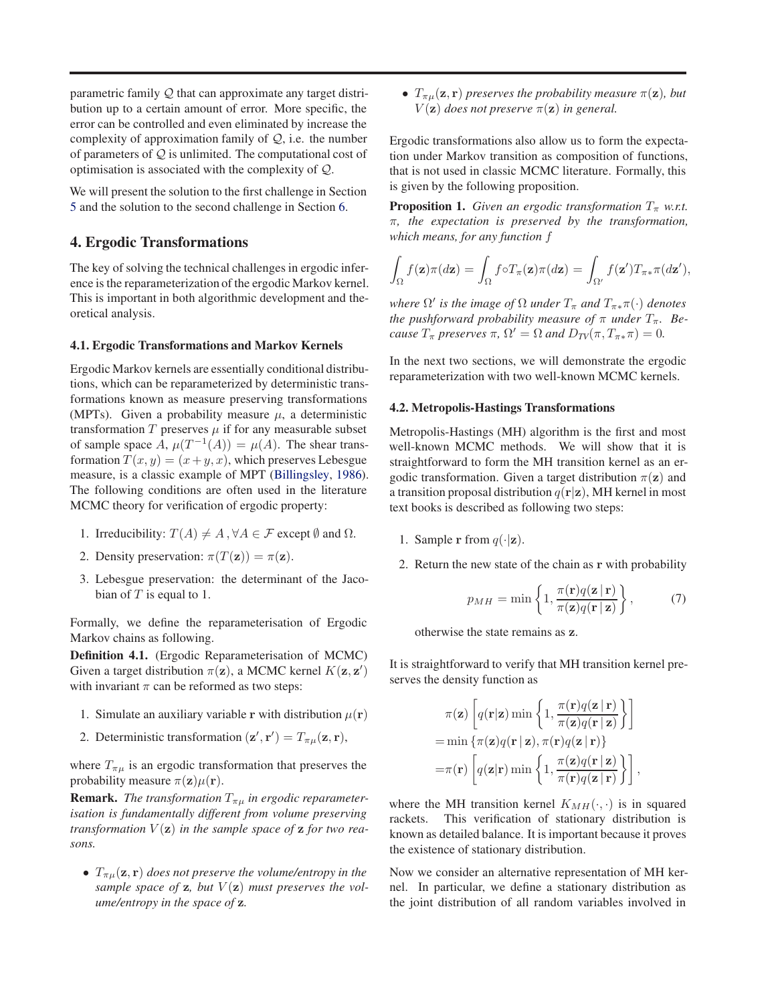<span id="page-3-0"></span>parametric family Q that can approximate any target distribution up to a certain amount of error. More specific, the error can be controlled and even eliminated by increase the complexity of approximation family of  $Q$ , i.e. the number of parameters of  $Q$  is unlimited. The computational cost of optimisation is associated with the complexity of Q.

We will present the solution to the first challenge in Section [5](#page-4-0) and the solution to the second challenge in Section [6.](#page-6-0)

# 4. Ergodic Transformations

The key of solving the technical challenges in ergodic inference is the reparameterization of the ergodic Markov kernel. This is important in both algorithmic development and theoretical analysis.

### 4.1. Ergodic Transformations and Markov Kernels

Ergodic Markov kernels are essentially conditional distributions, which can be reparameterized by deterministic transformations known as measure preserving transformations (MPTs). Given a probability measure  $\mu$ , a deterministic transformation  $T$  preserves  $\mu$  if for any measurable subset of sample space  $\overline{A}$ ,  $\mu(T^{-1}(A)) = \mu(A)$ . The shear transformation  $T(x, y) = (x + y, x)$ , which preserves Lebesgue measure, is a classic example of MPT [\(Billingsley,](#page-8-0) [1986\)](#page-8-0). The following conditions are often used in the literature MCMC theory for verification of ergodic property:

- 1. Irreducibility:  $T(A) \neq A$ ,  $\forall A \in \mathcal{F}$  except  $\emptyset$  and  $\Omega$ .
- 2. Density preservation:  $\pi(T(\mathbf{z})) = \pi(\mathbf{z})$ .
- 3. Lebesgue preservation: the determinant of the Jacobian of  $T$  is equal to 1.

Formally, we define the reparameterisation of Ergodic Markov chains as following.

Definition 4.1. (Ergodic Reparameterisation of MCMC) Given a target distribution  $\pi(z)$ , a MCMC kernel  $K(z, z')$ with invariant  $\pi$  can be reformed as two steps:

- 1. Simulate an auxiliary variable r with distribution  $\mu(\mathbf{r})$
- 2. Deterministic transformation  $(\mathbf{z}', \mathbf{r}') = T_{\pi\mu}(\mathbf{z}, \mathbf{r}),$

where  $T_{\pi\mu}$  is an ergodic transformation that preserves the probability measure  $\pi(\mathbf{z})\mu(\mathbf{r})$ .

**Remark.** *The transformation*  $T_{\pi\mu}$  *in ergodic reparameterisation is fundamentally different from volume preserving transformation*  $V(\mathbf{z})$  *in the sample space of*  $\mathbf{z}$  *for two reasons.*

•  $T_{\pi\mu}(\mathbf{z}, \mathbf{r})$  *does not preserve the volume/entropy in the* sample space of  $z$ , but  $V(z)$  must preserves the vol*ume/entropy in the space of* z*.*

•  $T_{\pi\mu}(\mathbf{z}, \mathbf{r})$  *preserves the probability measure*  $\pi(\mathbf{z})$ *, but*  $V(\mathbf{z})$  *does not preserve*  $\pi(\mathbf{z})$  *in general.* 

Ergodic transformations also allow us to form the expectation under Markov transition as composition of functions, that is not used in classic MCMC literature. Formally, this is given by the following proposition.

**Proposition 1.** *Given an ergodic transformation*  $T_{\pi}$  *w.r.t.* π*, the expectation is preserved by the transformation, which means, for any function* f

$$
\int_{\Omega} f(\mathbf{z}) \pi(d\mathbf{z}) = \int_{\Omega} f \circ T_{\pi}(\mathbf{z}) \pi(d\mathbf{z}) = \int_{\Omega'} f(\mathbf{z}') T_{\pi^*} \pi(d\mathbf{z}'),
$$

 $\mathbb{R}^N$  *is the image of*  $\Omega$  *under*  $T_{\pi}$  *and*  $T_{\pi^*}\pi(\cdot)$  *denotes the pushforward probability measure of*  $\pi$  *under*  $T_{\pi}$ *. Because*  $T_{\pi}$  *preserves*  $\pi$ ,  $\Omega' = \Omega$  *and*  $D_{TV}(\pi, T_{\pi^*} \pi) = 0$ *.* 

In the next two sections, we will demonstrate the ergodic reparameterization with two well-known MCMC kernels.

### 4.2. Metropolis-Hastings Transformations

Metropolis-Hastings (MH) algorithm is the first and most well-known MCMC methods. We will show that it is straightforward to form the MH transition kernel as an ergodic transformation. Given a target distribution  $\pi(z)$  and a transition proposal distribution  $q(\mathbf{r}|\mathbf{z})$ , MH kernel in most text books is described as following two steps:

- 1. Sample r from  $q(\cdot|\mathbf{z})$ .
- 2. Return the new state of the chain as r with probability

$$
p_{MH} = \min\left\{1, \frac{\pi(\mathbf{r})q(\mathbf{z} \mid \mathbf{r})}{\pi(\mathbf{z})q(\mathbf{r} \mid \mathbf{z})}\right\},\tag{7}
$$

otherwise the state remains as z.

It is straightforward to verify that MH transition kernel preserves the density function as

$$
\pi(\mathbf{z}) \left[ q(\mathbf{r}|\mathbf{z}) \min \left\{ 1, \frac{\pi(\mathbf{r}) q(\mathbf{z} | \mathbf{r})}{\pi(\mathbf{z}) q(\mathbf{r} | \mathbf{z})} \right\} \right]
$$
\n
$$
= \min \left\{ \pi(\mathbf{z}) q(\mathbf{r} | \mathbf{z}), \pi(\mathbf{r}) q(\mathbf{z} | \mathbf{r}) \right\}
$$
\n
$$
= \pi(\mathbf{r}) \left[ q(\mathbf{z} | \mathbf{r}) \min \left\{ 1, \frac{\pi(\mathbf{z}) q(\mathbf{r} | \mathbf{z})}{\pi(\mathbf{r}) q(\mathbf{z} | \mathbf{r})} \right\} \right],
$$

where the MH transition kernel  $K_{MH}(\cdot, \cdot)$  is in squared rackets. This verification of stationary distribution is known as detailed balance. It is important because it proves the existence of stationary distribution.

Now we consider an alternative representation of MH kernel. In particular, we define a stationary distribution as the joint distribution of all random variables involved in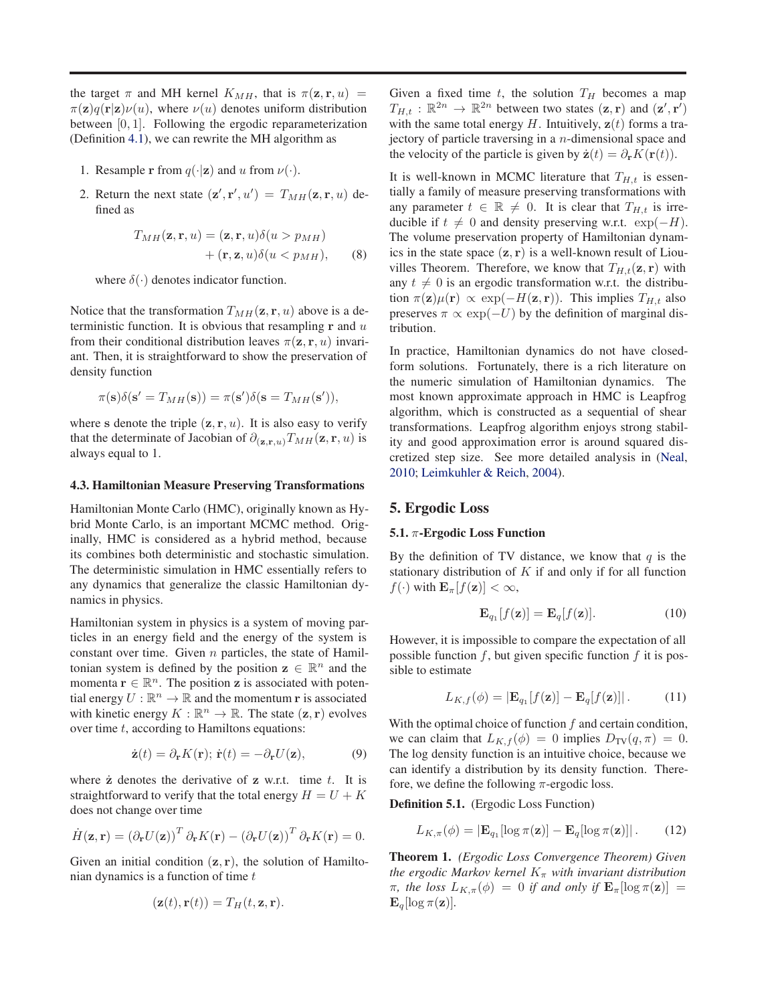<span id="page-4-0"></span>the target  $\pi$  and MH kernel  $K_{MH}$ , that is  $\pi(\mathbf{z}, \mathbf{r}, u)$  =  $\pi(\mathbf{z})q(\mathbf{r}|\mathbf{z})\nu(u)$ , where  $\nu(u)$  denotes uniform distribution between [0, 1]. Following the ergodic reparameterization (Definition [4.1\)](#page-3-0), we can rewrite the MH algorithm as

- 1. Resample r from  $q(\cdot|\mathbf{z})$  and u from  $\nu(\cdot)$ .
- 2. Return the next state  $(\mathbf{z}', \mathbf{r}', u') = T_{MH}(\mathbf{z}, \mathbf{r}, u)$  defined as

$$
T_{MH}(\mathbf{z}, \mathbf{r}, u) = (\mathbf{z}, \mathbf{r}, u) \delta(u > p_{MH}) + (\mathbf{r}, \mathbf{z}, u) \delta(u < p_{MH}), \qquad (8)
$$

where  $\delta(\cdot)$  denotes indicator function.

Notice that the transformation  $T_{MH}(\mathbf{z}, \mathbf{r}, u)$  above is a deterministic function. It is obvious that resampling  $r$  and  $u$ from their conditional distribution leaves  $\pi(\mathbf{z}, \mathbf{r}, u)$  invariant. Then, it is straightforward to show the preservation of density function

$$
\pi(\mathbf{s})\delta(\mathbf{s}' = T_{MH}(\mathbf{s})) = \pi(\mathbf{s}')\delta(\mathbf{s} = T_{MH}(\mathbf{s}')),
$$

where s denote the triple  $(z, r, u)$ . It is also easy to verify that the determinate of Jacobian of  $\partial_{(\mathbf{z},\mathbf{r},u)}T_{MH}(\mathbf{z},\mathbf{r},u)$  is always equal to 1.

#### 4.3. Hamiltonian Measure Preserving Transformations

Hamiltonian Monte Carlo (HMC), originally known as Hybrid Monte Carlo, is an important MCMC method. Originally, HMC is considered as a hybrid method, because its combines both deterministic and stochastic simulation. The deterministic simulation in HMC essentially refers to any dynamics that generalize the classic Hamiltonian dynamics in physics.

Hamiltonian system in physics is a system of moving particles in an energy field and the energy of the system is constant over time. Given  $n$  particles, the state of Hamiltonian system is defined by the position  $z \in \mathbb{R}^n$  and the momenta  $\mathbf{r} \in \mathbb{R}^n$ . The position **z** is associated with potential energy  $U : \mathbb{R}^n \to \mathbb{R}$  and the momentum r is associated with kinetic energy  $K : \mathbb{R}^n \to \mathbb{R}$ . The state  $(\mathbf{z}, \mathbf{r})$  evolves over time  $t$ , according to Hamiltons equations:

$$
\dot{\mathbf{z}}(t) = \partial_{\mathbf{r}} K(\mathbf{r}); \ \dot{\mathbf{r}}(t) = -\partial_{\mathbf{r}} U(\mathbf{z}), \tag{9}
$$

where  $\dot{z}$  denotes the derivative of  $z$  w.r.t. time  $t$ . It is straightforward to verify that the total energy  $H = U + K$ does not change over time

$$
\dot{H}(\mathbf{z}, \mathbf{r}) = \left(\partial_{\mathbf{r}} U(\mathbf{z})\right)^{T} \partial_{\mathbf{r}} K(\mathbf{r}) - \left(\partial_{\mathbf{r}} U(\mathbf{z})\right)^{T} \partial_{\mathbf{r}} K(\mathbf{r}) = 0.
$$

Given an initial condition  $(z, r)$ , the solution of Hamiltonian dynamics is a function of time  $t$ 

$$
(\mathbf{z}(t), \mathbf{r}(t)) = T_H(t, \mathbf{z}, \mathbf{r}).
$$

Given a fixed time  $t$ , the solution  $T_H$  becomes a map  $T_{H,t} : \mathbb{R}^{2n} \to \mathbb{R}^{2n}$  between two states  $(\mathbf{z}, \mathbf{r})$  and  $(\mathbf{z}', \mathbf{r}')$ with the same total energy  $H$ . Intuitively,  $z(t)$  forms a trajectory of particle traversing in a n-dimensional space and the velocity of the particle is given by  $\dot{\mathbf{z}}(t) = \partial_{\mathbf{r}} K(\mathbf{r}(t)).$ 

It is well-known in MCMC literature that  $T_{H,t}$  is essentially a family of measure preserving transformations with any parameter  $t \in \mathbb{R} \neq 0$ . It is clear that  $T_{H,t}$  is irreducible if  $t \neq 0$  and density preserving w.r.t. exp( $-H$ ). The volume preservation property of Hamiltonian dynamics in the state space  $(z, r)$  is a well-known result of Liouvilles Theorem. Therefore, we know that  $T_{H,t}(\mathbf{z}, \mathbf{r})$  with any  $t \neq 0$  is an ergodic transformation w.r.t. the distribution  $\pi(\mathbf{z})\mu(\mathbf{r}) \propto \exp(-H(\mathbf{z}, \mathbf{r}))$ . This implies  $T_{H,t}$  also preserves  $\pi \propto \exp(-U)$  by the definition of marginal distribution.

In practice, Hamiltonian dynamics do not have closedform solutions. Fortunately, there is a rich literature on the numeric simulation of Hamiltonian dynamics. The most known approximate approach in HMC is Leapfrog algorithm, which is constructed as a sequential of shear transformations. Leapfrog algorithm enjoys strong stability and good approximation error is around squared discretized step size. See more detailed analysis in [\(Neal](#page-8-0), [2010;](#page-8-0) [Leimkuhler & Reich](#page-8-0), [2004](#page-8-0)).

# 5. Ergodic Loss

#### 5.1.  $\pi$ -Ergodic Loss Function

By the definition of TV distance, we know that  $q$  is the stationary distribution of  $K$  if and only if for all function  $f(\cdot)$  with  $\mathbf{E}_{\pi}[f(\mathbf{z})]<\infty$ ,

$$
\mathbf{E}_{q_1}[f(\mathbf{z})] = \mathbf{E}_q[f(\mathbf{z})]. \tag{10}
$$

However, it is impossible to compare the expectation of all possible function  $f$ , but given specific function  $f$  it is possible to estimate

$$
L_{K,f}(\phi) = |\mathbf{E}_{q_1}[f(\mathbf{z})] - \mathbf{E}_{q}[f(\mathbf{z})]|.
$$
 (11)

With the optimal choice of function  $f$  and certain condition, we can claim that  $L_{K,f}(\phi) = 0$  implies  $D_{TV}(q, \pi) = 0$ . The log density function is an intuitive choice, because we can identify a distribution by its density function. Therefore, we define the following  $\pi$ -ergodic loss.

Definition 5.1. (Ergodic Loss Function)

$$
L_{K,\pi}(\phi) = |\mathbf{E}_{q_1}[\log \pi(\mathbf{z})] - \mathbf{E}_{q}[\log \pi(\mathbf{z})]|.
$$
 (12)

Theorem 1. *(Ergodic Loss Convergence Theorem) Given the ergodic Markov kernel*  $K_{\pi}$  *with invariant distribution*  $\pi$ , the loss  $L_{K,\pi}(\phi) = 0$  if and only if  $\mathbf{E}_{\pi}[\log \pi(\mathbf{z})] =$  $\mathbf{E}_q[\log \pi(\mathbf{z})]$ *.*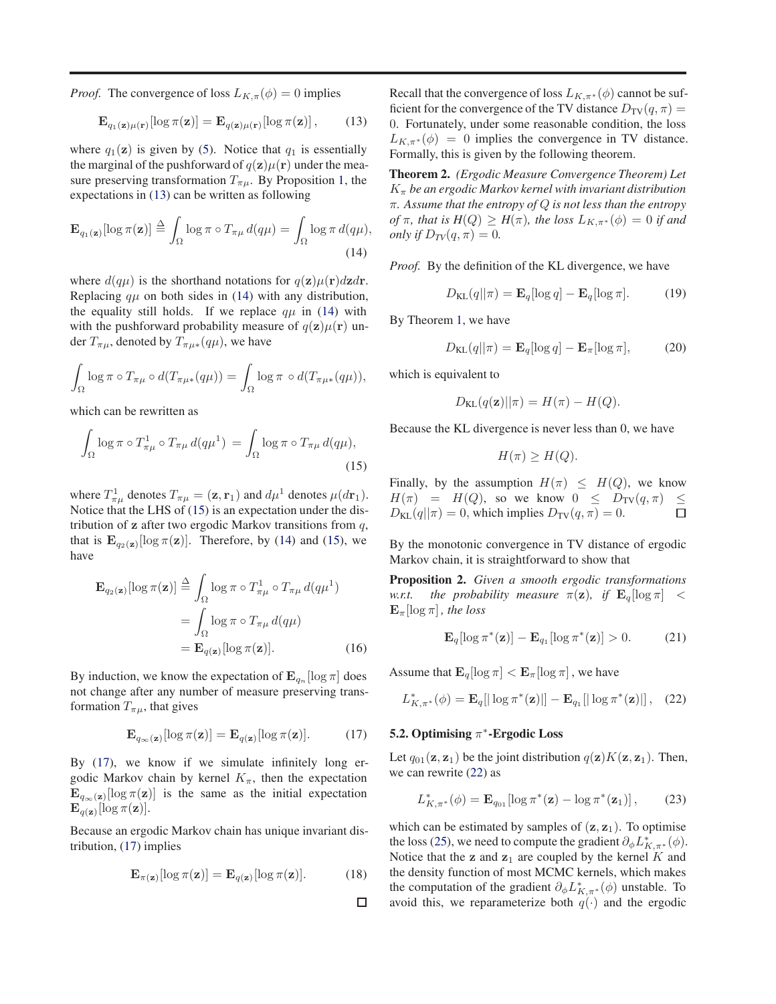<span id="page-5-0"></span>*Proof.* The convergence of loss  $L_{K,\pi}(\phi) = 0$  implies

$$
\mathbf{E}_{q_1(\mathbf{z})\mu(\mathbf{r})}[\log \pi(\mathbf{z})] = \mathbf{E}_{q(\mathbf{z})\mu(\mathbf{r})}[\log \pi(\mathbf{z})],\qquad(13)
$$

where  $q_1(z)$  is given by [\(5\)](#page-2-0). Notice that  $q_1$  is essentially the marginal of the pushforward of  $q(\mathbf{z})\mu(\mathbf{r})$  under the measure preserving transformation  $T_{\pi\mu}$ . By Proposition [1,](#page-3-0) the expectations in (13) can be written as following

$$
\mathbf{E}_{q_1(\mathbf{z})}[\log \pi(\mathbf{z})] \stackrel{\Delta}{=} \int_{\Omega} \log \pi \circ T_{\pi\mu} d(q\mu) = \int_{\Omega} \log \pi d(q\mu),
$$
\n(14)

where  $d(q\mu)$  is the shorthand notations for  $q(\mathbf{z})\mu(\mathbf{r})d\mathbf{z}d\mathbf{r}$ . Replacing  $q\mu$  on both sides in (14) with any distribution, the equality still holds. If we replace  $q\mu$  in (14) with with the pushforward probability measure of  $q(\mathbf{z})\mu(\mathbf{r})$  under  $T_{\pi\mu}$ , denoted by  $T_{\pi\mu*}(q\mu)$ , we have

$$
\int_{\Omega} \log \pi \circ T_{\pi\mu} \circ d(T_{\pi\mu*}(q\mu)) = \int_{\Omega} \log \pi \circ d(T_{\pi\mu*}(q\mu)),
$$

which can be rewritten as

$$
\int_{\Omega} \log \pi \circ T_{\pi\mu}^1 \circ T_{\pi\mu} d(q\mu^1) = \int_{\Omega} \log \pi \circ T_{\pi\mu} d(q\mu),\tag{15}
$$

where  $T_{\pi\mu}^1$  denotes  $T_{\pi\mu} = (\mathbf{z}, \mathbf{r}_1)$  and  $d\mu^1$  denotes  $\mu(dx_1)$ . Notice that the LHS of (15) is an expectation under the distribution of  $z$  after two ergodic Markov transitions from  $q$ , that is  $\mathbf{E}_{q_2(\mathbf{z})}[\log \pi(\mathbf{z})]$ . Therefore, by (14) and (15), we have

$$
\mathbf{E}_{q_2(\mathbf{z})}[\log \pi(\mathbf{z})] \stackrel{\Delta}{=} \int_{\Omega} \log \pi \circ T_{\pi\mu}^1 \circ T_{\pi\mu} d(q\mu^1)
$$

$$
= \int_{\Omega} \log \pi \circ T_{\pi\mu} d(q\mu)
$$

$$
= \mathbf{E}_{q(\mathbf{z})}[\log \pi(\mathbf{z})]. \tag{16}
$$

By induction, we know the expectation of  $\mathbf{E}_{q_n}[\log \pi]$  does not change after any number of measure preserving transformation  $T_{\pi\mu}$ , that gives

$$
\mathbf{E}_{q_{\infty}(\mathbf{z})}[\log \pi(\mathbf{z})] = \mathbf{E}_{q(\mathbf{z})}[\log \pi(\mathbf{z})]. \quad (17)
$$

By (17), we know if we simulate infinitely long ergodic Markov chain by kernel  $K_{\pi}$ , then the expectation  $\mathbf{E}_{q_\infty(\mathbf{z})}[\log \pi(\mathbf{z})]$  is the same as the initial expectation  $\mathbf{E}_{q(\mathbf{z})}$ [log  $\pi(\mathbf{z})$ ].

Because an ergodic Markov chain has unique invariant distribution, (17) implies

$$
\mathbf{E}_{\pi(\mathbf{z})}[\log \pi(\mathbf{z})] = \mathbf{E}_{q(\mathbf{z})}[\log \pi(\mathbf{z})]. \quad (18)
$$

□

Recall that the convergence of loss  $L_{K,\pi^*}(\phi)$  cannot be sufficient for the convergence of the TV distance  $D_{\text{TV}}(q, \pi)$  = 0. Fortunately, under some reasonable condition, the loss  $L_{K,\pi^*}(\phi) = 0$  implies the convergence in TV distance. Formally, this is given by the following theorem.

Theorem 2. *(Ergodic Measure Convergence Theorem) Let*  $K_{\pi}$  be an ergodic Markov kernel with invariant distribution π*. Assume that the entropy of* Q *is not less than the entropy of*  $\pi$ *, that is*  $H(Q) \geq H(\pi)$ *, the loss*  $L_{K,\pi^*}(\phi) = 0$  *if and only if*  $D_{TV}(q, \pi) = 0$ *.* 

*Proof.* By the definition of the KL divergence, we have

$$
D_{\mathrm{KL}}(q||\pi) = \mathbf{E}_q[\log q] - \mathbf{E}_q[\log \pi]. \tag{19}
$$

By Theorem [1,](#page-4-0) we have

$$
D_{\mathrm{KL}}(q||\pi) = \mathbf{E}_q[\log q] - \mathbf{E}_\pi[\log \pi],\tag{20}
$$

which is equivalent to

$$
D_{\text{KL}}(q(\mathbf{z})||\pi) = H(\pi) - H(Q).
$$

Because the KL divergence is never less than 0, we have

$$
H(\pi) \ge H(Q).
$$

Finally, by the assumption  $H(\pi) \leq H(Q)$ , we know  $H(\pi) = H(Q)$ , so we know  $0 \leq D_{TV}(q, \pi) \leq$  $D_{KL}(q||\pi) = 0$ , which implies  $D_{TV}(q, \pi) = 0$ .  $\Box$ 

By the monotonic convergence in TV distance of ergodic Markov chain, it is straightforward to show that

Proposition 2. *Given a smooth ergodic transformations w.r.t.* the probability measure  $\pi(z)$ , if  $\mathbf{E}_q[\log \pi] <$  $\mathbf{E}_{\pi}[\log \pi]$ *, the loss* 

$$
\mathbf{E}_q[\log \pi^*(\mathbf{z})] - \mathbf{E}_{q_1}[\log \pi^*(\mathbf{z})] > 0. \tag{21}
$$

Assume that  $\mathbf{E}_q[\log \pi] < \mathbf{E}_\pi[\log \pi]$ , we have

$$
L_{K,\pi^*}^*(\phi) = \mathbf{E}_q[|\log \pi^*(\mathbf{z})|] - \mathbf{E}_{q_1}[|\log \pi^*(\mathbf{z})|], \quad (22)
$$

# 5.2. Optimising  $\pi^*$ -Ergodic Loss

Let  $q_{01}(\mathbf{z}, \mathbf{z}_1)$  be the joint distribution  $q(\mathbf{z})K(\mathbf{z}, \mathbf{z}_1)$ . Then, we can rewrite (22) as

$$
L_{K,\pi^*}^*(\phi) = \mathbf{E}_{q_{01}}[\log \pi^*(\mathbf{z}) - \log \pi^*(\mathbf{z}_1)],\qquad(23)
$$

which can be estimated by samples of  $(z, z_1)$ . To optimise the loss [\(25\)](#page-6-0), we need to compute the gradient  $\partial_{\phi} L_{K,\pi^*}^*(\phi)$ . Notice that the **z** and  $z_1$  are coupled by the kernel K and the density function of most MCMC kernels, which makes the computation of the gradient  $\partial_{\phi} L_{K,\pi^*}^*(\phi)$  unstable. To avoid this, we reparameterize both  $q(\cdot)$  and the ergodic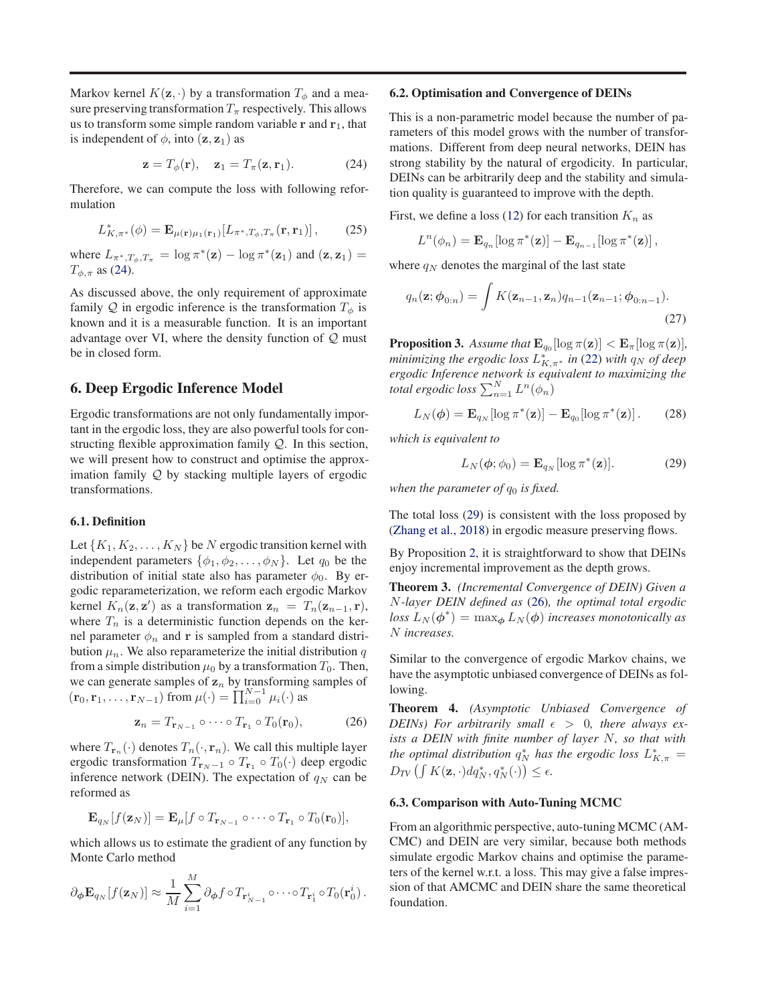<span id="page-6-0"></span>Markov kernel  $K(\mathbf{z}, \cdot)$  by a transformation  $T_{\phi}$  and a measure preserving transformation  $T_{\pi}$  respectively. This allows us to transform some simple random variable  $r$  and  $r_1$ , that is independent of  $\phi$ , into  $(\mathbf{z}, \mathbf{z}_1)$  as

$$
\mathbf{z} = T_{\phi}(\mathbf{r}), \quad \mathbf{z}_1 = T_{\pi}(\mathbf{z}, \mathbf{r}_1). \tag{24}
$$

Therefore, we can compute the loss with following reformulation

$$
L_{K,\pi^*}^*(\phi) = \mathbf{E}_{\mu(\mathbf{r})\mu_1(\mathbf{r}_1)}[L_{\pi^*,T_{\phi},T_{\pi}}(\mathbf{r},\mathbf{r}_1)],\qquad(25)
$$

where  $L_{\pi^*,T_\phi,T_\pi} = \log \pi^*(\mathbf{z}) - \log \pi^*(\mathbf{z}_1)$  and  $(\mathbf{z}, \mathbf{z}_1) =$  $T_{\phi,\pi}$  as (24).

As discussed above, the only requirement of approximate family Q in ergodic inference is the transformation  $T_{\phi}$  is known and it is a measurable function. It is an important advantage over VI, where the density function of  $Q$  must be in closed form.

# 6. Deep Ergodic Inference Model

Ergodic transformations are not only fundamentally important in the ergodic loss, they are also powerful tools for constructing flexible approximation family Q. In this section, we will present how to construct and optimise the approximation family Q by stacking multiple layers of ergodic transformations.

### 6.1. Definition

Let  $\{K_1, K_2, \ldots, K_N\}$  be N ergodic transition kernel with independent parameters  $\{\phi_1, \phi_2, \dots, \phi_N\}$ . Let  $q_0$  be the distribution of initial state also has parameter  $\phi_0$ . By ergodic reparameterization, we reform each ergodic Markov kernel  $K_n(\mathbf{z}, \mathbf{z}')$  as a transformation  $\mathbf{z}_n = T_n(\mathbf{z}_{n-1}, \mathbf{r})$ , where  $T_n$  is a deterministic function depends on the kernel parameter  $\phi_n$  and r is sampled from a standard distribution  $\mu_n$ . We also reparameterize the initial distribution q from a simple distribution  $\mu_0$  by a transformation  $T_0$ . Then, we can generate samples of  $z_n$  by transforming samples of  $(\mathbf{r}_0, \mathbf{r}_1, \dots, \mathbf{r}_{N-1})$  from  $\mu(\cdot) = \prod_{i=0}^{N-1} \mu_i(\cdot)$  as

$$
\mathbf{z}_n = T_{\mathbf{r}_{N-1}} \circ \cdots \circ T_{\mathbf{r}_1} \circ T_0(\mathbf{r}_0), \tag{26}
$$

where  $T_{\mathbf{r}_n}(\cdot)$  denotes  $T_n(\cdot, \mathbf{r}_n)$ . We call this multiple layer ergodic transformation  $T_{\mathbf{r}_N-1} \circ T_{\mathbf{r}_1} \circ T_0(\cdot)$  deep ergodic inference network (DEIN). The expectation of  $q_N$  can be reformed as

$$
\mathbf{E}_{q_N}[f(\mathbf{z}_N)] = \mathbf{E}_{\mu}[f \circ T_{\mathbf{r}_{N-1}} \circ \cdots \circ T_{\mathbf{r}_1} \circ T_0(\mathbf{r}_0)],
$$

which allows us to estimate the gradient of any function by Monte Carlo method

$$
\partial_{\boldsymbol{\phi}} \mathbf{E}_{q_N}[f(\mathbf{z}_N)] \approx \frac{1}{M} \sum_{i=1}^M \partial_{\boldsymbol{\phi}} f \circ T_{\mathbf{r}_{N-1}^i} \circ \cdots \circ T_{\mathbf{r}_1^i} \circ T_0(\mathbf{r}_0^i).
$$

### 6.2. Optimisation and Convergence of DEINs

This is a non-parametric model because the number of parameters of this model grows with the number of transformations. Different from deep neural networks, DEIN has strong stability by the natural of ergodicity. In particular, DEINs can be arbitrarily deep and the stability and simulation quality is guaranteed to improve with the depth.

First, we define a loss [\(12\)](#page-4-0) for each transition  $K_n$  as

$$
L^{n}(\phi_n) = \mathbf{E}_{q_n}[\log \pi^*(\mathbf{z})] - \mathbf{E}_{q_{n-1}}[\log \pi^*(\mathbf{z})],
$$

where  $q_N$  denotes the marginal of the last state

$$
q_n(\mathbf{z}; \boldsymbol{\phi}_{0:n}) = \int K(\mathbf{z}_{n-1}, \mathbf{z}_n) q_{n-1}(\mathbf{z}_{n-1}; \boldsymbol{\phi}_{0:n-1}).
$$
\n(27)

**Proposition 3.** Assume that  $\mathbf{E}_{q_0}[\log \pi(\mathbf{z})] < \mathbf{E}_{\pi}[\log \pi(\mathbf{z})]$ , *minimizing the ergodic loss*  $L_{K,\pi^*}^*$  *in* [\(22\)](#page-5-0) *with*  $q_N$  *of deep ergodic Inference network is equivalent to maximizing the total ergodic loss*  $\sum_{n=1}^{N} L^n(\phi_n)$ 

$$
L_N(\boldsymbol{\phi}) = \mathbf{E}_{q_N}[\log \pi^*(\mathbf{z})] - \mathbf{E}_{q_0}[\log \pi^*(\mathbf{z})]. \qquad (28)
$$

*which is equivalent to*

$$
L_N(\phi; \phi_0) = \mathbf{E}_{q_N}[\log \pi^*(\mathbf{z})]. \tag{29}
$$

*when the parameter of*  $q_0$  *is fixed.* 

The total loss (29) is consistent with the loss proposed by (Zhang et al., 2018) in ergodic measure preserving flows.

By Proposition [2,](#page-5-0) it is straightforward to show that DEINs enjoy incremental improvement as the depth grows.

Theorem 3. *(Incremental Convergence of DEIN) Given a* N*-layer DEIN defined as* (26)*, the optimal total ergodic*  $loss L_N(\phi^*) = \max_{\phi} L_N(\phi)$  *increases monotonically as* N *increases.*

Similar to the convergence of ergodic Markov chains, we have the asymptotic unbiased convergence of DEINs as following.

Theorem 4. *(Asymptotic Unbiased Convergence of DEINs*) For arbitrarily small  $\epsilon > 0$ , there always ex*ists a DEIN with finite number of layer* N*, so that with* the optimal distribution  $q_N^*$  has the ergodic loss  $L_{K,\pi}^* =$  $D_{TV}\left(\int K(\mathbf{z}, \cdot) dq_N^*, q_N^*(\cdot)\right) \leq \epsilon.$ 

### 6.3. Comparison with Auto-Tuning MCMC

From an algorithmic perspective, auto-tuning MCMC (AM-CMC) and DEIN are very similar, because both methods simulate ergodic Markov chains and optimise the parameters of the kernel w.r.t. a loss. This may give a false impression of that AMCMC and DEIN share the same theoretical foundation.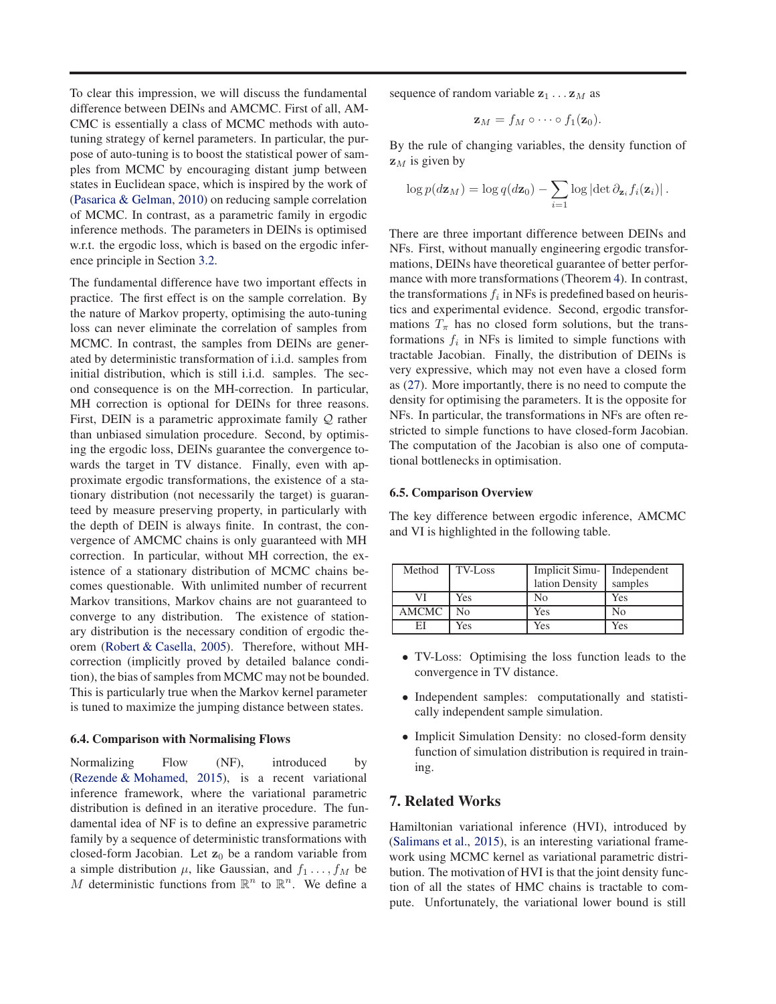To clear this impression, we will discuss the fundamental difference between DEINs and AMCMC. First of all, AM-CMC is essentially a class of MCMC methods with autotuning strategy of kernel parameters. In particular, the purpose of auto-tuning is to boost the statistical power of samples from MCMC by encouraging distant jump between states in Euclidean space, which is inspired by the work of [\(Pasarica & Gelman,](#page-8-0) [2010\)](#page-8-0) on reducing sample correlation of MCMC. In contrast, as a parametric family in ergodic inference methods. The parameters in DEINs is optimised w.r.t. the ergodic loss, which is based on the ergodic inference principle in Section [3.2.](#page-2-0)

The fundamental difference have two important effects in practice. The first effect is on the sample correlation. By the nature of Markov property, optimising the auto-tuning loss can never eliminate the correlation of samples from MCMC. In contrast, the samples from DEINs are generated by deterministic transformation of i.i.d. samples from initial distribution, which is still i.i.d. samples. The second consequence is on the MH-correction. In particular, MH correction is optional for DEINs for three reasons. First, DEIN is a parametric approximate family  $Q$  rather than unbiased simulation procedure. Second, by optimising the ergodic loss, DEINs guarantee the convergence towards the target in TV distance. Finally, even with approximate ergodic transformations, the existence of a stationary distribution (not necessarily the target) is guaranteed by measure preserving property, in particularly with the depth of DEIN is always finite. In contrast, the convergence of AMCMC chains is only guaranteed with MH correction. In particular, without MH correction, the existence of a stationary distribution of MCMC chains becomes questionable. With unlimited number of recurrent Markov transitions, Markov chains are not guaranteed to converge to any distribution. The existence of stationary distribution is the necessary condition of ergodic theorem [\(Robert & Casella](#page-8-0), [2005\)](#page-8-0). Therefore, without MHcorrection (implicitly proved by detailed balance condition), the bias of samples from MCMC may not be bounded. This is particularly true when the Markov kernel parameter is tuned to maximize the jumping distance between states.

### 6.4. Comparison with Normalising Flows

Normalizing Flow (NF), introduced by [\(Rezende & Mohamed,](#page-8-0) [2015\)](#page-8-0), is a recent variational inference framework, where the variational parametric distribution is defined in an iterative procedure. The fundamental idea of NF is to define an expressive parametric family by a sequence of deterministic transformations with closed-form Jacobian. Let  $z_0$  be a random variable from a simple distribution  $\mu$ , like Gaussian, and  $f_1 \ldots, f_M$  be M deterministic functions from  $\mathbb{R}^n$  to  $\mathbb{R}^n$ . We define a

sequence of random variable  $z_1 \dots z_M$  as

$$
\mathbf{z}_M = f_M \circ \cdots \circ f_1(\mathbf{z}_0).
$$

By the rule of changing variables, the density function of  $z_M$  is given by

$$
\log p(d\mathbf{z}_M) = \log q(d\mathbf{z}_0) - \sum_{i=1} \log |\det \partial_{\mathbf{z}_i} f_i(\mathbf{z}_i)|.
$$

There are three important difference between DEINs and NFs. First, without manually engineering ergodic transformations, DEINs have theoretical guarantee of better performance with more transformations (Theorem [4\)](#page-6-0). In contrast, the transformations  $f_i$  in NFs is predefined based on heuristics and experimental evidence. Second, ergodic transformations  $T_{\pi}$  has no closed form solutions, but the transformations  $f_i$  in NFs is limited to simple functions with tractable Jacobian. Finally, the distribution of DEINs is very expressive, which may not even have a closed form as [\(27\)](#page-6-0). More importantly, there is no need to compute the density for optimising the parameters. It is the opposite for NFs. In particular, the transformations in NFs are often restricted to simple functions to have closed-form Jacobian. The computation of the Jacobian is also one of computational bottlenecks in optimisation.

### 6.5. Comparison Overview

The key difference between ergodic inference, AMCMC and VI is highlighted in the following table.

| Method       | TV-Loss | Implicit Simu- | Independent |
|--------------|---------|----------------|-------------|
|              |         | lation Density | samples     |
| VI           | Yes     | No             | Yes         |
| <b>AMCMC</b> | N٥      | Yes            | No          |
| ЕI           | Yes     | Yes            | Yes         |

- TV-Loss: Optimising the loss function leads to the convergence in TV distance.
- Independent samples: computationally and statistically independent sample simulation.
- Implicit Simulation Density: no closed-form density function of simulation distribution is required in training.

# 7. Related Works

Hamiltonian variational inference (HVI), introduced by [\(Salimans et al.,](#page-8-0) [2015\)](#page-8-0), is an interesting variational framework using MCMC kernel as variational parametric distribution. The motivation of HVI is that the joint density function of all the states of HMC chains is tractable to compute. Unfortunately, the variational lower bound is still